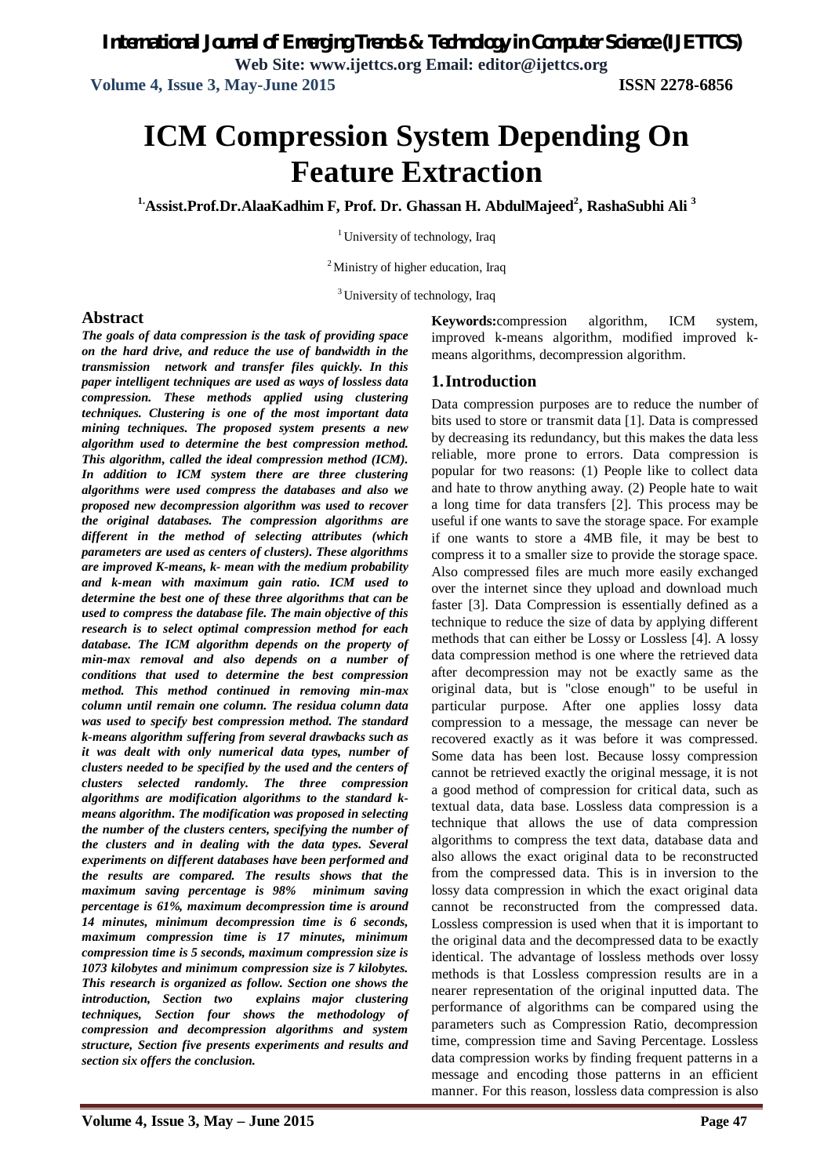**Volume 4, Issue 3, May-June 2015 ISSN 2278-6856**

# **ICM Compression System Depending On Feature Extraction**

**1.Assist.Prof.Dr.AlaaKadhim F, Prof. Dr. Ghassan H. AbdulMajeed<sup>2</sup> , RashaSubhi Ali <sup>3</sup>**

<sup>1</sup> University of technology, Iraq

<sup>2</sup>Ministry of higher education, Iraq

<sup>3</sup> University of technology, Iraq

#### **Abstract**

*The goals of data compression is the task of providing space on the hard drive, and reduce the use of bandwidth in the transmission network and transfer files quickly. In this paper intelligent techniques are used as ways of lossless data compression. These methods applied using clustering techniques. Clustering is one of the most important data mining techniques. The proposed system presents a new algorithm used to determine the best compression method. This algorithm, called the ideal compression method (ICM). In addition to ICM system there are three clustering algorithms were used compress the databases and also we proposed new decompression algorithm was used to recover the original databases. The compression algorithms are different in the method of selecting attributes (which parameters are used as centers of clusters). These algorithms are improved K-means, k- mean with the medium probability and k-mean with maximum gain ratio. ICM used to determine the best one of these three algorithms that can be used to compress the database file. The main objective of this research is to select optimal compression method for each database. The ICM algorithm depends on the property of min-max removal and also depends on a number of conditions that used to determine the best compression method. This method continued in removing min-max column until remain one column. The residua column data was used to specify best compression method. The standard k-means algorithm suffering from several drawbacks such as it was dealt with only numerical data types, number of clusters needed to be specified by the used and the centers of clusters selected randomly. The three compression algorithms are modification algorithms to the standard kmeans algorithm. The modification was proposed in selecting the number of the clusters centers, specifying the number of the clusters and in dealing with the data types. Several experiments on different databases have been performed and the results are compared. The results shows that the maximum saving percentage is 98% minimum saving percentage is 61%, maximum decompression time is around 14 minutes, minimum decompression time is 6 seconds, maximum compression time is 17 minutes, minimum compression time is 5 seconds, maximum compression size is 1073 kilobytes and minimum compression size is 7 kilobytes. This research is organized as follow. Section one shows the introduction, Section two explains major clustering techniques, Section four shows the methodology of compression and decompression algorithms and system structure, Section five presents experiments and results and section six offers the conclusion.*

**Keywords:**compression algorithm, ICM system, improved k-means algorithm, modified improved kmeans algorithms, decompression algorithm.

### **1.Introduction**

Data compression purposes are to reduce the number of bits used to store or transmit data [1]. Data is compressed by decreasing its redundancy, but this makes the data less reliable, more prone to errors. Data compression is popular for two reasons: (1) People like to collect data and hate to throw anything away. (2) People hate to wait a long time for data transfers [2]. This process may be useful if one wants to save the storage space. For example if one wants to store a 4MB file, it may be best to compress it to a smaller size to provide the storage space. Also compressed files are much more easily exchanged over the internet since they upload and download much faster [3]. Data Compression is essentially defined as a technique to reduce the size of data by applying different methods that can either be Lossy or Lossless [4]. A lossy data compression method is one where the retrieved data after decompression may not be exactly same as the original data, but is "close enough" to be useful in particular purpose. After one applies lossy data compression to a message, the message can never be recovered exactly as it was before it was compressed. Some data has been lost. Because lossy compression cannot be retrieved exactly the original message, it is not a good method of compression for critical data, such as textual data, data base. Lossless data compression is a technique that allows the use of data compression algorithms to compress the text data, database data and also allows the exact original data to be reconstructed from the compressed data. This is in inversion to the lossy data compression in which the exact original data cannot be reconstructed from the compressed data. Lossless compression is used when that it is important to the original data and the decompressed data to be exactly identical. The advantage of lossless methods over lossy methods is that Lossless compression results are in a nearer representation of the original inputted data. The performance of algorithms can be compared using the parameters such as Compression Ratio, decompression time, compression time and Saving Percentage. Lossless data compression works by finding frequent patterns in a message and encoding those patterns in an efficient manner. For this reason, lossless data compression is also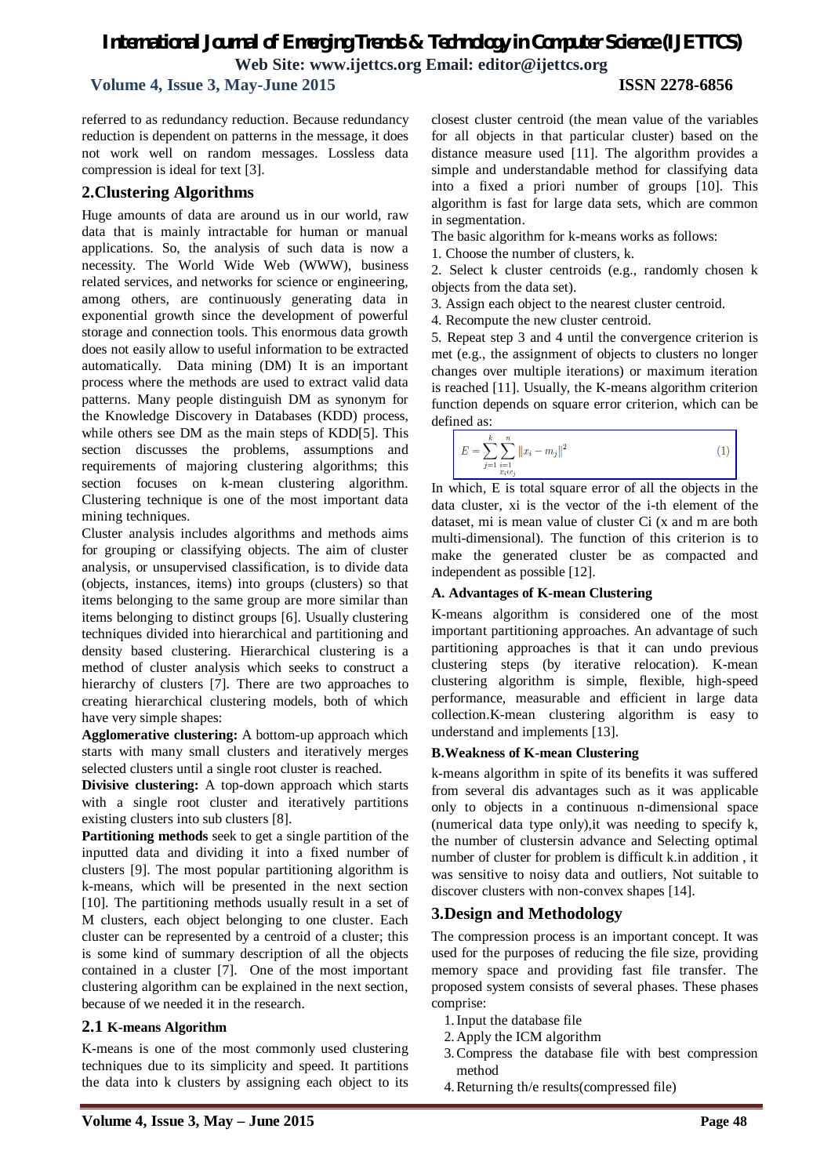**Volume 4, Issue 3, May-June 2015 ISSN 2278-6856**

referred to as redundancy reduction. Because redundancy reduction is dependent on patterns in the message, it does not work well on random messages. Lossless data compression is ideal for text [3].

### **2.Clustering Algorithms**

Huge amounts of data are around us in our world, raw data that is mainly intractable for human or manual applications. So, the analysis of such data is now a necessity. The World Wide Web (WWW), business related services, and networks for science or engineering, among others, are continuously generating data in exponential growth since the development of powerful storage and connection tools. This enormous data growth does not easily allow to useful information to be extracted automatically. Data mining (DM) It is an important process where the methods are used to extract valid data patterns. Many people distinguish DM as synonym for the Knowledge Discovery in Databases (KDD) process, while others see DM as the main steps of KDD[5]. This section discusses the problems, assumptions and requirements of majoring clustering algorithms; this section focuses on k-mean clustering algorithm. Clustering technique is one of the most important data mining techniques.

Cluster analysis includes algorithms and methods aims for grouping or classifying objects. The aim of cluster analysis, or unsupervised classification, is to divide data (objects, instances, items) into groups (clusters) so that items belonging to the same group are more similar than items belonging to distinct groups [6]. Usually clustering techniques divided into hierarchical and partitioning and density based clustering. Hierarchical clustering is a method of cluster analysis which seeks to construct a hierarchy of clusters [7]. There are two approaches to creating hierarchical clustering models, both of which have very simple shapes:

**Agglomerative clustering:** A bottom-up approach which starts with many small clusters and iteratively merges selected clusters until a single root cluster is reached.

**Divisive clustering:** A top-down approach which starts with a single root cluster and iteratively partitions existing clusters into sub clusters [8].

**Partitioning methods** seek to get a single partition of the inputted data and dividing it into a fixed number of clusters [9]. The most popular partitioning algorithm is k-means, which will be presented in the next section [10]. The partitioning methods usually result in a set of M clusters, each object belonging to one cluster. Each cluster can be represented by a centroid of a cluster; this is some kind of summary description of all the objects contained in a cluster [7]. One of the most important clustering algorithm can be explained in the next section, because of we needed it in the research.

#### **2.1 K-means Algorithm**

K-means is one of the most commonly used clustering techniques due to its simplicity and speed. It partitions the data into k clusters by assigning each object to its closest cluster centroid (the mean value of the variables for all objects in that particular cluster) based on the distance measure used [11]. The algorithm provides a simple and understandable method for classifying data into a fixed a priori number of groups [10]. This algorithm is fast for large data sets, which are common in segmentation.

The basic algorithm for k-means works as follows:

1. Choose the number of clusters, k.

2. Select k cluster centroids (e.g., randomly chosen k objects from the data set).

- 3. Assign each object to the nearest cluster centroid.
- 4. Recompute the new cluster centroid.

5. Repeat step 3 and 4 until the convergence criterion is met (e.g., the assignment of objects to clusters no longer changes over multiple iterations) or maximum iteration is reached [11]. Usually, the K-means algorithm criterion function depends on square error criterion, which can be defined as:

$$
E = \sum_{j=1}^{k} \sum_{\substack{i=1 \ i \neq i \neq c_j}}^{n} ||x_i - m_j||^2
$$
 (1)

In which, E is total square error of all the objects in the data cluster, xi is the vector of the i-th element of the dataset, mi is mean value of cluster Ci (x and m are both multi-dimensional). The function of this criterion is to make the generated cluster be as compacted and independent as possible [12].

#### **A. Advantages of K-mean Clustering**

K-means algorithm is considered one of the most important partitioning approaches. An advantage of such partitioning approaches is that it can undo previous clustering steps (by iterative relocation). K-mean clustering algorithm is simple, flexible, high-speed performance, measurable and efficient in large data collection.K-mean clustering algorithm is easy to understand and implements [13].

#### **B.Weakness of K-mean Clustering**

k-means algorithm in spite of its benefits it was suffered from several dis advantages such as it was applicable only to objects in a continuous n-dimensional space (numerical data type only),it was needing to specify k, the number of clustersin advance and Selecting optimal number of cluster for problem is difficult k.in addition , it was sensitive to noisy data and outliers, Not suitable to discover clusters with non-convex shapes [14].

# **3.Design and Methodology**

The compression process is an important concept. It was used for the purposes of reducing the file size, providing memory space and providing fast file transfer. The proposed system consists of several phases. These phases comprise:

- 1.Input the database file
- 2.Apply the ICM algorithm
- 3.Compress the database file with best compression method
- 4.Returning th/e results(compressed file)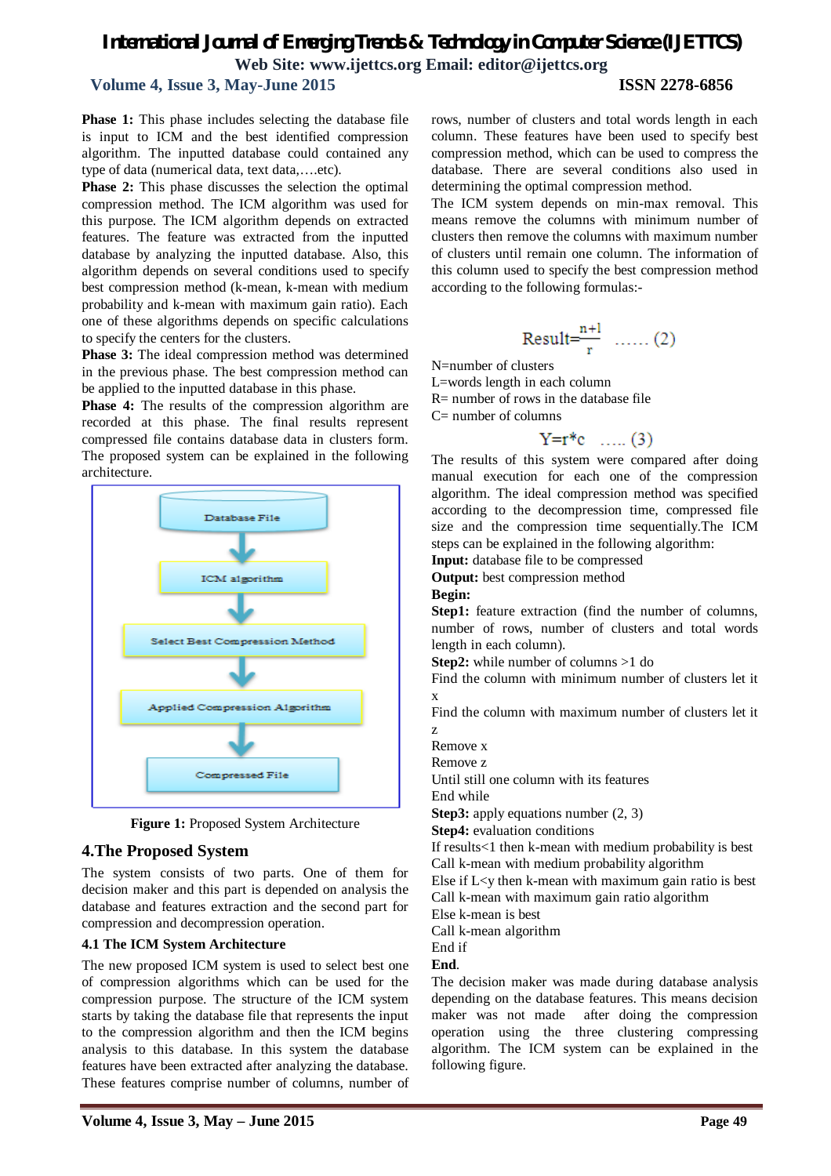**Volume 4, Issue 3, May-June 2015 ISSN 2278-6856**

**Phase 1:** This phase includes selecting the database file is input to ICM and the best identified compression algorithm. The inputted database could contained any type of data (numerical data, text data,….etc).

**Phase 2:** This phase discusses the selection the optimal compression method. The ICM algorithm was used for this purpose. The ICM algorithm depends on extracted features. The feature was extracted from the inputted database by analyzing the inputted database. Also, this algorithm depends on several conditions used to specify best compression method (k-mean, k-mean with medium probability and k-mean with maximum gain ratio). Each one of these algorithms depends on specific calculations to specify the centers for the clusters.

**Phase 3:** The ideal compression method was determined in the previous phase. The best compression method can be applied to the inputted database in this phase.

**Phase 4:** The results of the compression algorithm are recorded at this phase. The final results represent compressed file contains database data in clusters form. The proposed system can be explained in the following architecture.



**Figure 1:** Proposed System Architecture

#### **4.The Proposed System**

The system consists of two parts. One of them for decision maker and this part is depended on analysis the database and features extraction and the second part for compression and decompression operation.

#### **4.1 The ICM System Architecture**

The new proposed ICM system is used to select best one of compression algorithms which can be used for the compression purpose. The structure of the ICM system starts by taking the database file that represents the input to the compression algorithm and then the ICM begins analysis to this database. In this system the database features have been extracted after analyzing the database. These features comprise number of columns, number of rows, number of clusters and total words length in each column. These features have been used to specify best compression method, which can be used to compress the database. There are several conditions also used in determining the optimal compression method.

The ICM system depends on min-max removal. This means remove the columns with minimum number of clusters then remove the columns with maximum number of clusters until remain one column. The information of this column used to specify the best compression method according to the following formulas:-

$$
Result = \frac{n+1}{r} \quad \dots \quad (2)
$$

N=number of clusters

L=words length in each column

R= number of rows in the database file

 $C=$  number of columns

 $Y = r * c$  ..... (3)

The results of this system were compared after doing manual execution for each one of the compression algorithm. The ideal compression method was specified according to the decompression time, compressed file size and the compression time sequentially.The ICM steps can be explained in the following algorithm:

**Input:** database file to be compressed

**Output:** best compression method

**Begin:**

**Step1:** feature extraction (find the number of columns, number of rows, number of clusters and total words length in each column).

**Step2:** while number of columns >1 do

Find the column with minimum number of clusters let it x

Find the column with maximum number of clusters let it z

Remove x

Remove z

Until still one column with its features

End while

**Step3:** apply equations number  $(2, 3)$ 

**Step4:** evaluation conditions

If results<1 then k-mean with medium probability is best Call k-mean with medium probability algorithm

Else if  $L < v$  then k-mean with maximum gain ratio is best Call k-mean with maximum gain ratio algorithm

Else k-mean is best

Call k-mean algorithm

End if

**End**.

The decision maker was made during database analysis depending on the database features. This means decision maker was not made after doing the compression operation using the three clustering compressing algorithm. The ICM system can be explained in the following figure.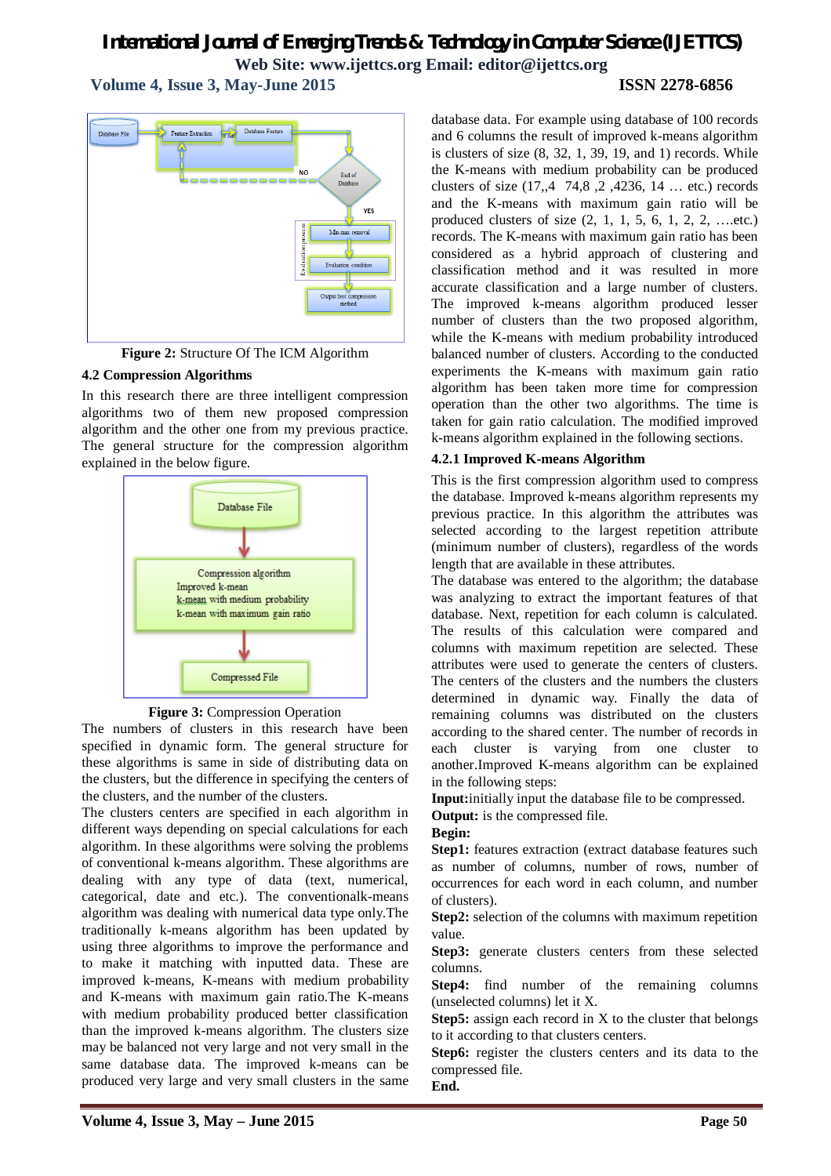**Volume 4, Issue 3, May-June 2015 ISSN 2278-6856**

# Feature Extraction a Esta Database Feature Database File  $\overline{M}$ End of  $\overline{N}$ **YFS** Min-max remo Evaluation condition Output best compression<br>method

**Figure 2:** Structure Of The ICM Algorithm

### **4.2 Compression Algorithms**

In this research there are three intelligent compression algorithms two of them new proposed compression algorithm and the other one from my previous practice. The general structure for the compression algorithm explained in the below figure.



**Figure 3:** Compression Operation

The numbers of clusters in this research have been specified in dynamic form. The general structure for these algorithms is same in side of distributing data on the clusters, but the difference in specifying the centers of the clusters, and the number of the clusters.

The clusters centers are specified in each algorithm in different ways depending on special calculations for each algorithm. In these algorithms were solving the problems of conventional k-means algorithm. These algorithms are dealing with any type of data (text, numerical, categorical, date and etc.). The conventionalk-means algorithm was dealing with numerical data type only.The traditionally k-means algorithm has been updated by using three algorithms to improve the performance and to make it matching with inputted data. These are improved k-means, K-means with medium probability and K-means with maximum gain ratio.The K-means with medium probability produced better classification than the improved k-means algorithm. The clusters size may be balanced not very large and not very small in the same database data. The improved k-means can be produced very large and very small clusters in the same database data. For example using database of 100 records and 6 columns the result of improved k-means algorithm is clusters of size  $(8, 32, 1, 39, 19, \text{ and } 1)$  records. While the K-means with medium probability can be produced clusters of size (17,,4 74,8 ,2 ,4236, 14 … etc.) records and the K-means with maximum gain ratio will be produced clusters of size (2, 1, 1, 5, 6, 1, 2, 2, ….etc.) records. The K-means with maximum gain ratio has been considered as a hybrid approach of clustering and classification method and it was resulted in more accurate classification and a large number of clusters. The improved k-means algorithm produced lesser number of clusters than the two proposed algorithm, while the K-means with medium probability introduced balanced number of clusters. According to the conducted experiments the K-means with maximum gain ratio algorithm has been taken more time for compression operation than the other two algorithms. The time is taken for gain ratio calculation. The modified improved k-means algorithm explained in the following sections.

### **4.2.1 Improved K-means Algorithm**

This is the first compression algorithm used to compress the database. Improved k-means algorithm represents my previous practice. In this algorithm the attributes was selected according to the largest repetition attribute (minimum number of clusters), regardless of the words length that are available in these attributes.

The database was entered to the algorithm; the database was analyzing to extract the important features of that database. Next, repetition for each column is calculated. The results of this calculation were compared and columns with maximum repetition are selected. These attributes were used to generate the centers of clusters. The centers of the clusters and the numbers the clusters determined in dynamic way. Finally the data of remaining columns was distributed on the clusters according to the shared center. The number of records in each cluster is varying from one cluster to another.Improved K-means algorithm can be explained in the following steps:

**Input:**initially input the database file to be compressed.

**Output:** is the compressed file.

#### **Begin:**

**Step1:** features extraction (extract database features such as number of columns, number of rows, number of occurrences for each word in each column, and number of clusters).

**Step2:** selection of the columns with maximum repetition value.

**Step3:** generate clusters centers from these selected columns.

**Step4:** find number of the remaining columns (unselected columns) let it X.

**Step5:** assign each record in X to the cluster that belongs to it according to that clusters centers.

**Step6:** register the clusters centers and its data to the compressed file.

**End.**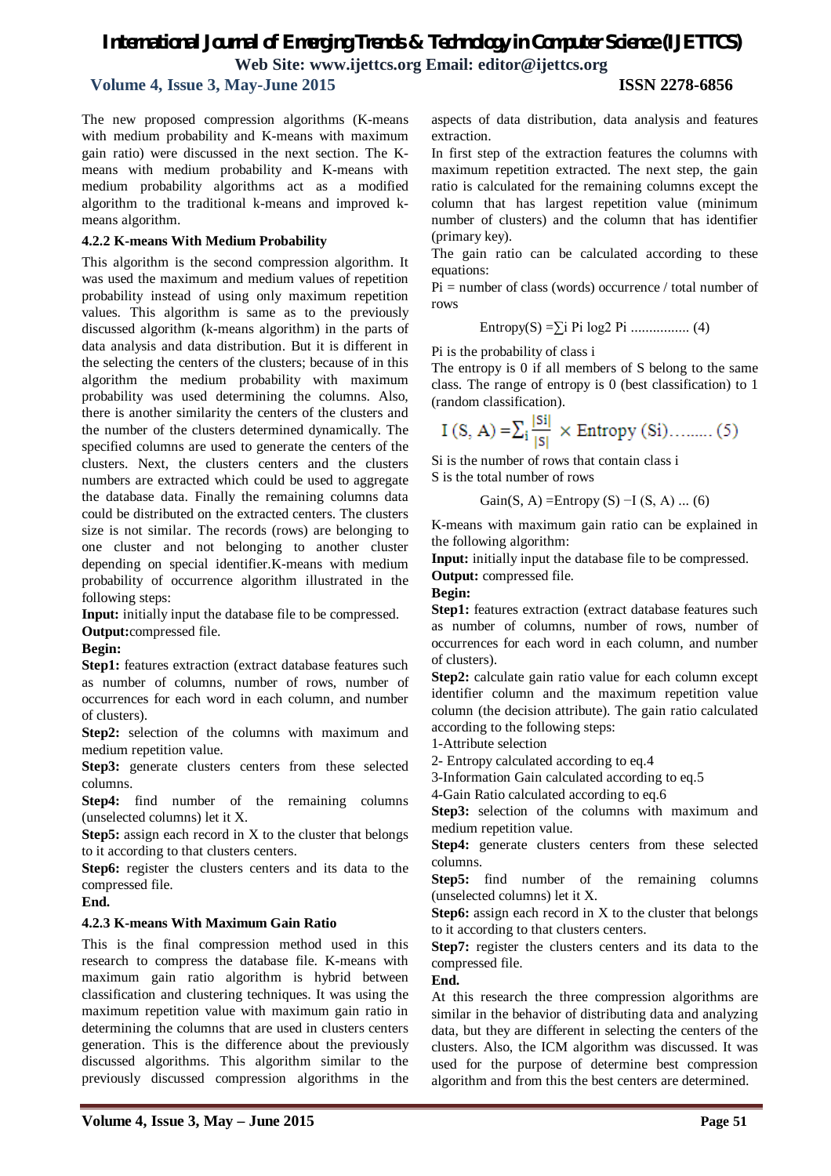### **Volume 4, Issue 3, May-June 2015 ISSN 2278-6856**

The new proposed compression algorithms (K-means with medium probability and K-means with maximum gain ratio) were discussed in the next section. The Kmeans with medium probability and K-means with medium probability algorithms act as a modified algorithm to the traditional k-means and improved kmeans algorithm.

#### **4.2.2 K-means With Medium Probability**

This algorithm is the second compression algorithm. It was used the maximum and medium values of repetition probability instead of using only maximum repetition values. This algorithm is same as to the previously discussed algorithm (k-means algorithm) in the parts of data analysis and data distribution. But it is different in the selecting the centers of the clusters; because of in this algorithm the medium probability with maximum probability was used determining the columns. Also, there is another similarity the centers of the clusters and the number of the clusters determined dynamically. The specified columns are used to generate the centers of the clusters. Next, the clusters centers and the clusters numbers are extracted which could be used to aggregate the database data. Finally the remaining columns data could be distributed on the extracted centers. The clusters size is not similar. The records (rows) are belonging to one cluster and not belonging to another cluster depending on special identifier.K-means with medium probability of occurrence algorithm illustrated in the following steps:

**Input:** initially input the database file to be compressed.

**Output:**compressed file.

#### **Begin:**

**Step1:** features extraction (extract database features such as number of columns, number of rows, number of occurrences for each word in each column, and number of clusters).

**Step2:** selection of the columns with maximum and medium repetition value.

Step3: generate clusters centers from these selected columns.

**Step4:** find number of the remaining columns (unselected columns) let it X.

**Step5:** assign each record in X to the cluster that belongs to it according to that clusters centers.

**Step6:** register the clusters centers and its data to the compressed file.

#### **End.**

#### **4.2.3 K-means With Maximum Gain Ratio**

This is the final compression method used in this research to compress the database file. K-means with maximum gain ratio algorithm is hybrid between classification and clustering techniques. It was using the maximum repetition value with maximum gain ratio in determining the columns that are used in clusters centers generation. This is the difference about the previously discussed algorithms. This algorithm similar to the previously discussed compression algorithms in the

aspects of data distribution, data analysis and features extraction.

In first step of the extraction features the columns with maximum repetition extracted. The next step, the gain ratio is calculated for the remaining columns except the column that has largest repetition value (minimum number of clusters) and the column that has identifier (primary key).

The gain ratio can be calculated according to these equations:

Pi = number of class (words) occurrence / total number of rows

Entropy(S) =∑i Pi log2 Pi ................ (4)

Pi is the probability of class i

The entropy is 0 if all members of S belong to the same class. The range of entropy is 0 (best classification) to 1 (random classification).

$$
I(S, A) = \sum_{i} \frac{|Si|}{|S|} \times Entropy(Si) \dots \dots \dots (5)
$$

Si is the number of rows that contain class i S is the total number of rows

Gain(S, A) =Entropy (S) –I (S, A) ... (6)

K-means with maximum gain ratio can be explained in the following algorithm:

**Input:** initially input the database file to be compressed.

**Output:** compressed file.

#### **Begin:**

**Step1:** features extraction (extract database features such as number of columns, number of rows, number of occurrences for each word in each column, and number of clusters).

**Step2:** calculate gain ratio value for each column except identifier column and the maximum repetition value column (the decision attribute). The gain ratio calculated according to the following steps:

1-Attribute selection

2- Entropy calculated according to eq.4

3-Information Gain calculated according to eq.5

4-Gain Ratio calculated according to eq.6

**Step3:** selection of the columns with maximum and medium repetition value.

Step4: generate clusters centers from these selected columns.

**Step5:** find number of the remaining columns (unselected columns) let it X.

**Step6:** assign each record in X to the cluster that belongs to it according to that clusters centers.

**Step7:** register the clusters centers and its data to the compressed file.

**End.**

At this research the three compression algorithms are similar in the behavior of distributing data and analyzing data, but they are different in selecting the centers of the clusters. Also, the ICM algorithm was discussed. It was used for the purpose of determine best compression algorithm and from this the best centers are determined.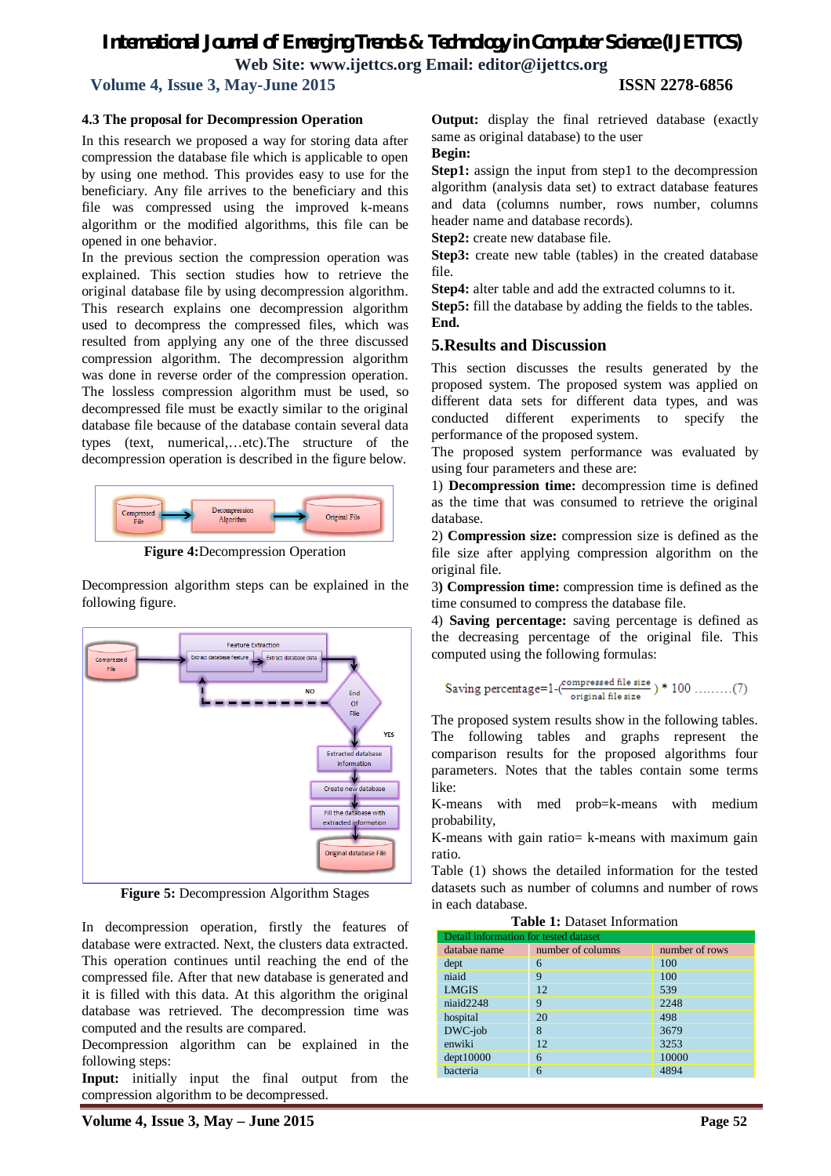**Volume 4, Issue 3, May-June 2015 ISSN 2278-6856**

#### **4.3 The proposal for Decompression Operation**

In this research we proposed a way for storing data after compression the database file which is applicable to open by using one method. This provides easy to use for the beneficiary. Any file arrives to the beneficiary and this file was compressed using the improved k-means algorithm or the modified algorithms, this file can be opened in one behavior.

In the previous section the compression operation was explained. This section studies how to retrieve the original database file by using decompression algorithm. This research explains one decompression algorithm used to decompress the compressed files, which was resulted from applying any one of the three discussed compression algorithm. The decompression algorithm was done in reverse order of the compression operation. The lossless compression algorithm must be used, so decompressed file must be exactly similar to the original database file because of the database contain several data types (text, numerical,…etc).The structure of the decompression operation is described in the figure below.



**Figure 4:**Decompression Operation

Decompression algorithm steps can be explained in the following figure.



**Figure 5:** Decompression Algorithm Stages

In decompression operation, firstly the features of database were extracted. Next, the clusters data extracted. This operation continues until reaching the end of the compressed file. After that new database is generated and it is filled with this data. At this algorithm the original database was retrieved. The decompression time was computed and the results are compared.

Decompression algorithm can be explained in the following steps:

**Input:** initially input the final output from the compression algorithm to be decompressed.

**Output:** display the final retrieved database (exactly same as original database) to the user

#### **Begin:**

**Step1:** assign the input from step1 to the decompression algorithm (analysis data set) to extract database features and data (columns number, rows number, columns header name and database records).

**Step2:** create new database file.

**Step3:** create new table (tables) in the created database file.

**Step4:** alter table and add the extracted columns to it.

**Step5:** fill the database by adding the fields to the tables. **End.**

### **5.Results and Discussion**

This section discusses the results generated by the proposed system. The proposed system was applied on different data sets for different data types, and was conducted different experiments to specify the performance of the proposed system.

The proposed system performance was evaluated by using four parameters and these are:

1) **Decompression time:** decompression time is defined as the time that was consumed to retrieve the original database.

2) **Compression size:** compression size is defined as the file size after applying compression algorithm on the original file.

3**) Compression time:** compression time is defined as the time consumed to compress the database file.

4) **Saving percentage:** saving percentage is defined as the decreasing percentage of the original file. This computed using the following formulas:

Saving percentage=1-(
$$
\frac{\text{compressed file size}}{\text{original file size}}
$$
) \* 100 .........(7)

The proposed system results show in the following tables. The following tables and graphs represent the comparison results for the proposed algorithms four parameters. Notes that the tables contain some terms like:

K-means with med prob=k-means with medium probability,

K-means with gain ratio= k-means with maximum gain ratio.

Table (1) shows the detailed information for the tested datasets such as number of columns and number of rows in each database.

| Detail information for tested dataset |                   |                |  |  |
|---------------------------------------|-------------------|----------------|--|--|
| databae name                          | number of columns | number of rows |  |  |
| dept                                  | 6                 | 100            |  |  |
| niaid                                 | 9                 | 100            |  |  |
| <b>LMGIS</b>                          | 12                | 539            |  |  |
| niaid2248                             | 9                 | 2248           |  |  |
| hospital                              | 20                | 498            |  |  |
| DWC-job                               | 8                 | 3679           |  |  |
| enwiki                                | 12                | 3253           |  |  |
| depth10000                            | 6                 | 10000          |  |  |
| bacteria                              | 6                 | 4894           |  |  |

**Table 1:** Dataset Information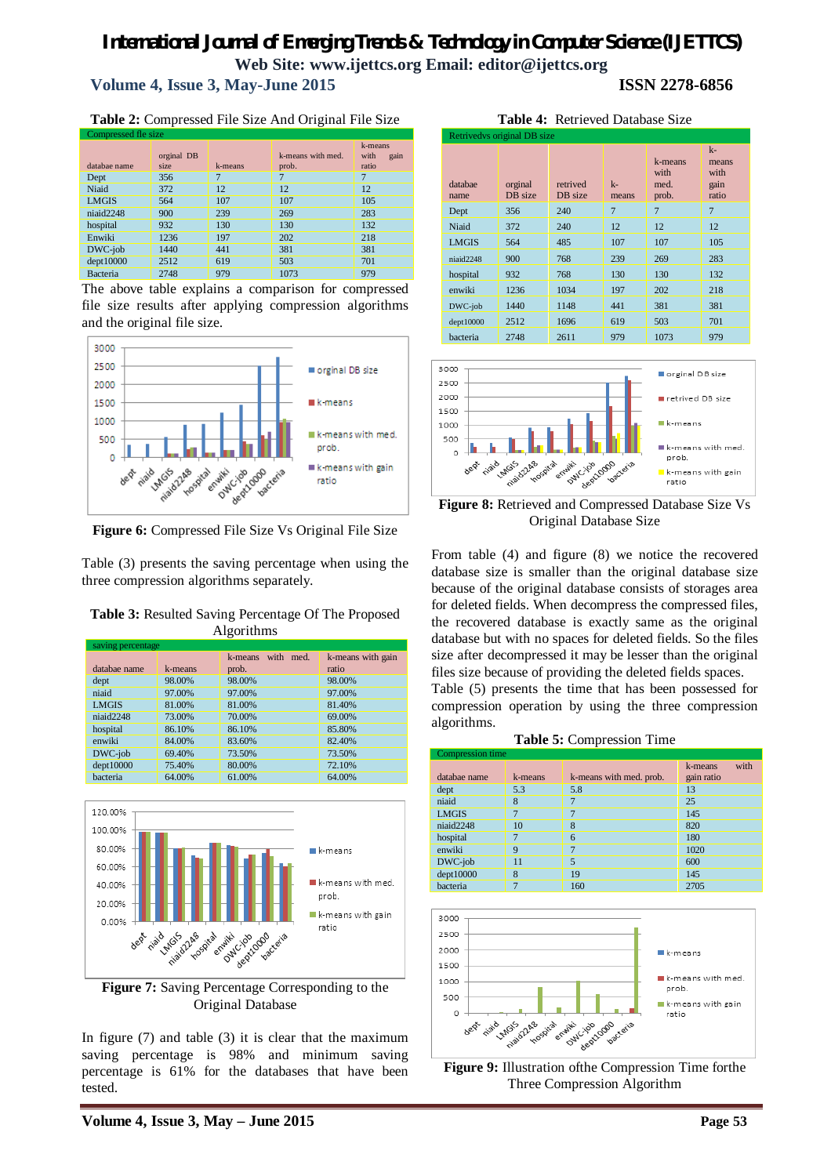# *International Journal of Emerging Trends & Technology in Computer Science (IJETTCS)* **Web Site: www.ijettcs.org Email: editor@ijettcs.org Volume 4, Issue 3, May-June 2015 ISSN 2278-6856**

 $\overline{d}$  $n$ 

**Table 2:** Compressed File Size And Original File Size Compressed fle size

|              | orginal DB |         | k-means with med. | k-means<br>with<br>gain |
|--------------|------------|---------|-------------------|-------------------------|
| databae name | size       | k-means | prob.             | ratio                   |
| Dept         | 356        | 7       |                   | 7                       |
| Niaid        | 372        | 12      | 12                | 12                      |
| <b>LMGIS</b> | 564        | 107     | 107               | 105                     |
| niaid2248    | 900        | 239     | 269               | 283                     |
| hospital     | 932        | 130     | 130               | 132                     |
| Enwiki       | 1236       | 197     | 202               | 218                     |
| DWC-job      | 1440       | 441     | 381               | 381                     |
| dept10000    | 2512       | 619     | 503               | 701                     |
| Bacteria     | 2748       | 979     | 1073              | 979                     |

The above table explains a comparison for compressed file size results after applying compression algorithms and the original file size.



**Figure 6:** Compressed File Size Vs Original File Size

Table (3) presents the saving percentage when using the three compression algorithms separately.

**Table 3:** Resulted Saving Percentage Of The Proposed Algorithms

| saving percentage |         |                         |                   |  |  |
|-------------------|---------|-------------------------|-------------------|--|--|
|                   |         | with<br>med.<br>k-means | k-means with gain |  |  |
| databae name      | k-means | prob.                   | ratio             |  |  |
| dept              | 98.00%  | 98.00%                  | 98.00%            |  |  |
| niaid             | 97.00%  | 97.00%                  | 97.00%            |  |  |
| <b>LMGIS</b>      | 81.00%  | 81.00%                  | 81.40%            |  |  |
| niaid2248         | 73.00%  | 70.00%                  | 69.00%            |  |  |
| hospital          | 86.10%  | 86.10%                  | 85.80%            |  |  |
| enwiki            | 84.00%  | 83.60%                  | 82.40%            |  |  |
| DWC-job           | 69.40%  | 73.50%                  | 73.50%            |  |  |
| dept10000         | 75.40%  | 80.00%                  | 72.10%            |  |  |
| bacteria          | 64.00%  | 61.00%                  | 64.00%            |  |  |



**Figure 7:** Saving Percentage Corresponding to the Original Database

In figure (7) and table (3) it is clear that the maximum saving percentage is 98% and minimum saving percentage is 61% for the databases that have been tested.

|                 |                             | <b>Table 4: Retrieved Database Size</b> |                |                                  |                                        |
|-----------------|-----------------------------|-----------------------------------------|----------------|----------------------------------|----------------------------------------|
|                 | Retrivedys original DB size |                                         |                |                                  |                                        |
| databae<br>name | orginal<br>DB size          | retrived<br>DB size                     | $k -$<br>means | k-means<br>with<br>med.<br>prob. | $k-$<br>means<br>with<br>gain<br>ratio |
| Dept            | 356                         | 240                                     | 7              | 7                                | 7                                      |
| Niaid           | 372                         | 240                                     | 12             | 12                               | 12                                     |
| LMGIS           | 564                         | 485                                     | 107            | 107                              | 105                                    |

niaid2248 900 768 239 269 283 hospital 932 768 130 130 132 enwiki 1236 1034 197 202 218 DWC-job 1440 1148 441 381 381 dept10000 2512 1696 619 503 701 bacteria 2748 2611 979 1073 979



**Figure 8:** Retrieved and Compressed Database Size Vs Original Database Size

From table (4) and figure (8) we notice the recovered database size is smaller than the original database size because of the original database consists of storages area for deleted fields. When decompress the compressed files, the recovered database is exactly same as the original database but with no spaces for deleted fields. So the files size after decompressed it may be lesser than the original files size because of providing the deleted fields spaces.

Table (5) presents the time that has been possessed for compression operation by using the three compression algorithms.

| Table 5: Compression Time |  |  |  |
|---------------------------|--|--|--|
|---------------------------|--|--|--|

| Compression time |         |                         |                 |  |  |
|------------------|---------|-------------------------|-----------------|--|--|
|                  |         |                         | with<br>k-means |  |  |
| databae name     | k-means | k-means with med. prob. | gain ratio      |  |  |
| dept             | 5.3     | 5.8                     | 13              |  |  |
| niaid            | 8       | 7                       | 25              |  |  |
| <b>LMGIS</b>     |         | 7                       | 145             |  |  |
| niaid2248        | 10      | 8                       | 820             |  |  |
| hospital         |         | 6                       | 180             |  |  |
| enwiki           | 9       | 7                       | 1020            |  |  |
| DWC-job          | 11      | 5                       | 600             |  |  |
| dept10000        | 8       | 19                      | 145             |  |  |
| bacteria         |         | 160                     | 2705            |  |  |



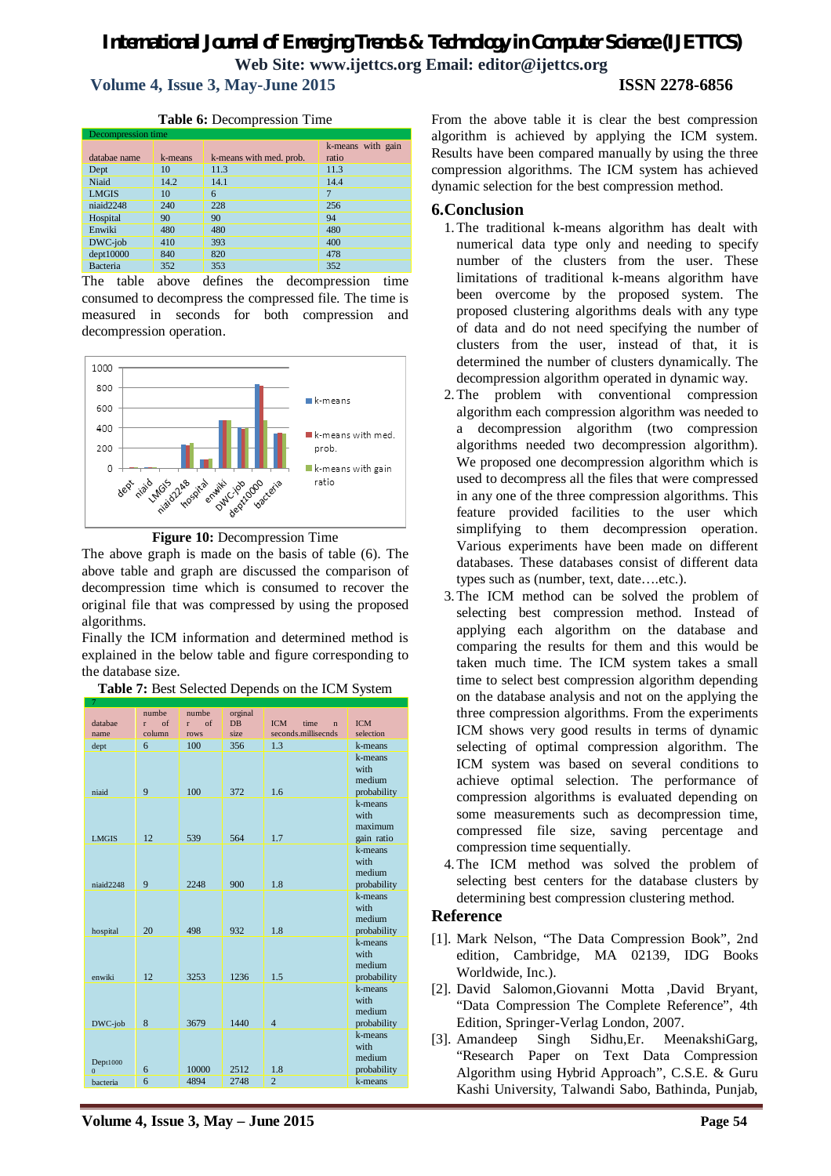**Volume 4, Issue 3, May-June 2015 ISSN 2278-6856**

#### **Table 6:** Decompression Time

| Decompression time |         |                         |                   |  |  |
|--------------------|---------|-------------------------|-------------------|--|--|
|                    |         |                         | k-means with gain |  |  |
| databae name       | k-means | k-means with med. prob. | ratio             |  |  |
| Dept               | 10      | 11.3                    | 11.3              |  |  |
| Niaid              | 14.2    | 14.1                    | 14.4              |  |  |
| <b>LMGIS</b>       | 10      | 6                       | 7                 |  |  |
| niaid2248          | 240     | 228                     | 256               |  |  |
| Hospital           | 90      | 90                      | 94                |  |  |
| Enwiki             | 480     | 480                     | 480               |  |  |
| DWC-job            | 410     | 393                     | 400               |  |  |
| dept10000          | 840     | 820                     | 478               |  |  |
| Bacteria           | 352     | 353                     | 352               |  |  |

The table above defines the decompression time consumed to decompress the compressed file. The time is measured in seconds for both compression and decompression operation.





The above graph is made on the basis of table (6). The above table and graph are discussed the comparison of decompression time which is consumed to recover the original file that was compressed by using the proposed algorithms.

Finally the ICM information and determined method is explained in the below table and figure corresponding to the database size.

| 7                          |                                    |                                  |                              |                                                           |                                          |
|----------------------------|------------------------------------|----------------------------------|------------------------------|-----------------------------------------------------------|------------------------------------------|
| databae<br>name            | numbe<br>$\sigma$ f<br>r<br>column | numbe<br>$\sigma$ f<br>r<br>rows | orginal<br><b>DB</b><br>size | <b>ICM</b><br>time<br>$\mathbf{n}$<br>seconds.millisecnds | ICM<br>selection                         |
| dept                       | 6                                  | 100                              | 356                          | 1.3                                                       | k-means                                  |
| niaid                      | 9                                  | 100                              | 372                          | 1.6                                                       | k-means<br>with<br>medium<br>probability |
| <b>LMGIS</b>               | 12                                 | 539                              | 564                          | 1.7                                                       | k-means<br>with<br>maximum<br>gain ratio |
| niaid2248                  | 9                                  | 2248                             | 900                          | 1.8                                                       | k-means<br>with<br>medium<br>probability |
| hospital                   | 20                                 | 498                              | 932                          | 1.8                                                       | k-means<br>with<br>medium<br>probability |
| enwiki                     | 12                                 | 3253                             | 1236                         | 1.5                                                       | k-means<br>with<br>medium<br>probability |
| DWC-job                    | 8                                  | 3679                             | 1440                         | $\overline{4}$                                            | k-means<br>with<br>medium<br>probability |
| Dept1000<br>$\overline{0}$ | 6                                  | 10000                            | 2512                         | 1.8                                                       | k-means<br>with<br>medium<br>probability |
| <b>bacteria</b>            | 6                                  | 4894                             | 2748                         | $\overline{2}$                                            | k-means                                  |

| Table 7: Best Selected Depends on the ICM System |  |
|--------------------------------------------------|--|
|--------------------------------------------------|--|

From the above table it is clear the best compression algorithm is achieved by applying the ICM system. Results have been compared manually by using the three compression algorithms. The ICM system has achieved dynamic selection for the best compression method.

### **6.Conclusion**

- 1.The traditional k-means algorithm has dealt with numerical data type only and needing to specify number of the clusters from the user. These limitations of traditional k-means algorithm have been overcome by the proposed system. The proposed clustering algorithms deals with any type of data and do not need specifying the number of clusters from the user, instead of that, it is determined the number of clusters dynamically. The decompression algorithm operated in dynamic way.
- 2.The problem with conventional compression algorithm each compression algorithm was needed to a decompression algorithm (two compression algorithms needed two decompression algorithm). We proposed one decompression algorithm which is used to decompress all the files that were compressed in any one of the three compression algorithms. This feature provided facilities to the user which simplifying to them decompression operation. Various experiments have been made on different databases. These databases consist of different data types such as (number, text, date….etc.).
- 3.The ICM method can be solved the problem of selecting best compression method. Instead of applying each algorithm on the database and comparing the results for them and this would be taken much time. The ICM system takes a small time to select best compression algorithm depending on the database analysis and not on the applying the three compression algorithms. From the experiments ICM shows very good results in terms of dynamic selecting of optimal compression algorithm. The ICM system was based on several conditions to achieve optimal selection. The performance of compression algorithms is evaluated depending on some measurements such as decompression time, compressed file size, saving percentage and compression time sequentially.
- 4.The ICM method was solved the problem of selecting best centers for the database clusters by determining best compression clustering method.

### **Reference**

- [1]. Mark Nelson, "The Data Compression Book", 2nd edition, Cambridge, MA 02139, IDG Books Worldwide, Inc.).
- [2]. David Salomon,Giovanni Motta ,David Bryant, "Data Compression The Complete Reference", 4th Edition, Springer-Verlag London, 2007.
- [3]. Amandeep Singh Sidhu,Er. MeenakshiGarg, "Research Paper on Text Data Compression Algorithm using Hybrid Approach", C.S.E. & Guru Kashi University, Talwandi Sabo, Bathinda, Punjab,

**Volume 4, Issue 3, May – June 2015 Page 54**